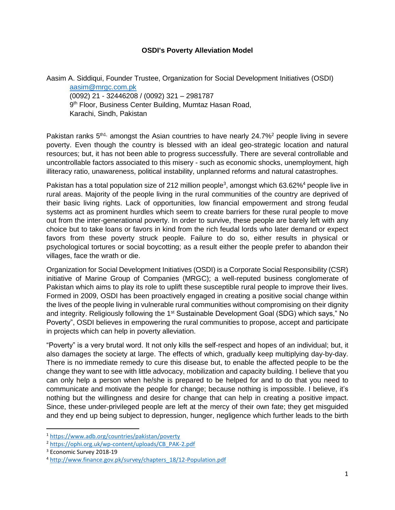## **OSDI's Poverty Alleviation Model**

Aasim A. Siddiqui, Founder Trustee, Organization for Social Development Initiatives (OSDI) [aasim@mrgc.com.pk](mailto:aasim@mrgc.com.pk) (0092) 21 - 32446208 / (0092) 321 – 2981787 9<sup>th</sup> Floor, Business Center Building, Mumtaz Hasan Road, Karachi, Sindh, Pakistan

Pakistan ranks  $5<sup>th1</sup>$ , amongst the Asian countries to have nearly 24.7%<sup>2</sup> people living in severe poverty. Even though the country is blessed with an ideal geo-strategic location and natural resources; but, it has not been able to progress successfully. There are several controllable and uncontrollable factors associated to this misery - such as economic shocks, unemployment, high illiteracy ratio, unawareness, political instability, unplanned reforms and natural catastrophes.

Pakistan has a total population size of 212 million people<sup>3</sup>, amongst which 63.62%<sup>4</sup> people live in rural areas. Majority of the people living in the rural communities of the country are deprived of their basic living rights. Lack of opportunities, low financial empowerment and strong feudal systems act as prominent hurdles which seem to create barriers for these rural people to move out from the inter-generational poverty. In order to survive, these people are barely left with any choice but to take loans or favors in kind from the rich feudal lords who later demand or expect favors from these poverty struck people. Failure to do so, either results in physical or psychological tortures or social boycotting; as a result either the people prefer to abandon their villages, face the wrath or die.

Organization for Social Development Initiatives (OSDI) is a Corporate Social Responsibility (CSR) initiative of Marine Group of Companies (MRGC); a well-reputed business conglomerate of Pakistan which aims to play its role to uplift these susceptible rural people to improve their lives. Formed in 2009, OSDI has been proactively engaged in creating a positive social change within the lives of the people living in vulnerable rural communities without compromising on their dignity and integrity. Religiously following the 1<sup>st</sup> Sustainable Development Goal (SDG) which says," No Poverty", OSDI believes in empowering the rural communities to propose, accept and participate in projects which can help in poverty alleviation.

"Poverty" is a very brutal word. It not only kills the self-respect and hopes of an individual; but, it also damages the society at large. The effects of which, gradually keep multiplying day-by-day. There is no immediate remedy to cure this disease but, to enable the affected people to be the change they want to see with little advocacy, mobilization and capacity building. I believe that you can only help a person when he/she is prepared to be helped for and to do that you need to communicate and motivate the people for change; because nothing is impossible. I believe, it's nothing but the willingness and desire for change that can help in creating a positive impact. Since, these under-privileged people are left at the mercy of their own fate; they get misguided and they end up being subject to depression, hunger, negligence which further leads to the birth

 $\overline{a}$ 

<sup>1</sup> <https://www.adb.org/countries/pakistan/poverty>

<sup>2</sup> [https://ophi.org.uk/wp-content/uploads/CB\\_PAK-2.pdf](https://ophi.org.uk/wp-content/uploads/CB_PAK-2.pdf)

<sup>&</sup>lt;sup>3</sup> Economic Survey 2018-19

<sup>4</sup> [http://www.finance.gov.pk/survey/chapters\\_18/12-Population.pdf](http://www.finance.gov.pk/survey/chapters_18/12-Population.pdf)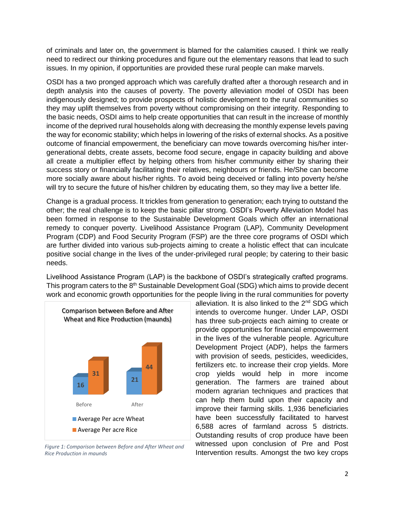of criminals and later on, the government is blamed for the calamities caused. I think we really need to redirect our thinking procedures and figure out the elementary reasons that lead to such issues. In my opinion, if opportunities are provided these rural people can make marvels.

OSDI has a two pronged approach which was carefully drafted after a thorough research and in depth analysis into the causes of poverty. The poverty alleviation model of OSDI has been indigenously designed; to provide prospects of holistic development to the rural communities so they may uplift themselves from poverty without compromising on their integrity. Responding to the basic needs, OSDI aims to help create opportunities that can result in the increase of monthly income of the deprived rural households along with decreasing the monthly expense levels paving the way for economic stability; which helps in lowering of the risks of external shocks. As a positive outcome of financial empowerment, the beneficiary can move towards overcoming his/her intergenerational debts, create assets, become food secure, engage in capacity building and above all create a multiplier effect by helping others from his/her community either by sharing their success story or financially facilitating their relatives, neighbours or friends. He/She can become more socially aware about his/her rights. To avoid being deceived or falling into poverty he/she will try to secure the future of his/her children by educating them, so they may live a better life.

Change is a gradual process. It trickles from generation to generation; each trying to outstand the other; the real challenge is to keep the basic pillar strong. OSDI's Poverty Alleviation Model has been formed in response to the Sustainable Development Goals which offer an international remedy to conquer poverty. Livelihood Assistance Program (LAP), Community Development Program (CDP) and Food Security Program (FSP) are the three core programs of OSDI which are further divided into various sub-projects aiming to create a holistic effect that can inculcate positive social change in the lives of the under-privileged rural people; by catering to their basic needs.

Livelihood Assistance Program (LAP) is the backbone of OSDI's strategically crafted programs. This program caters to the 8<sup>th</sup> Sustainable Development Goal (SDG) which aims to provide decent work and economic growth opportunities for the people living in the rural communities for poverty



*Figure 1: Comparison between Before and After Wheat and Rice Production in maunds*

alleviation. It is also linked to the 2<sup>nd</sup> SDG which intends to overcome hunger. Under LAP, OSDI has three sub-projects each aiming to create or provide opportunities for financial empowerment in the lives of the vulnerable people. Agriculture Development Project (ADP), helps the farmers with provision of seeds, pesticides, weedicides, fertilizers etc. to increase their crop yields. More crop yields would help in more income generation. The farmers are trained about modern agrarian techniques and practices that can help them build upon their capacity and improve their farming skills. 1,936 beneficiaries have been successfully facilitated to harvest 6,588 acres of farmland across 5 districts. Outstanding results of crop produce have been witnessed upon conclusion of Pre and Post Intervention results. Amongst the two key crops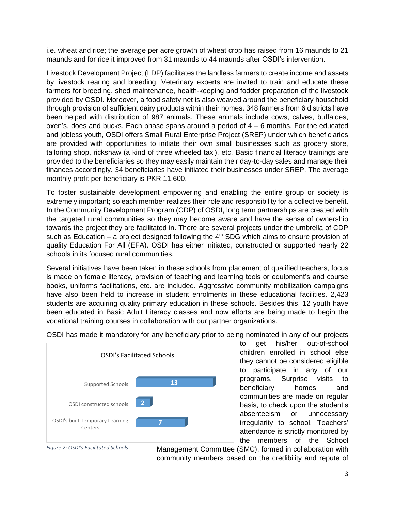i.e. wheat and rice; the average per acre growth of wheat crop has raised from 16 maunds to 21 maunds and for rice it improved from 31 maunds to 44 maunds after OSDI's intervention.

Livestock Development Project (LDP) facilitates the landless farmers to create income and assets by livestock rearing and breeding. Veterinary experts are invited to train and educate these farmers for breeding, shed maintenance, health-keeping and fodder preparation of the livestock provided by OSDI. Moreover, a food safety net is also weaved around the beneficiary household through provision of sufficient dairy products within their homes. 348 farmers from 6 districts have been helped with distribution of 987 animals. These animals include cows, calves, buffaloes, oxen's, does and bucks. Each phase spans around a period of  $4 - 6$  months. For the educated and jobless youth, OSDI offers Small Rural Enterprise Project (SREP) under which beneficiaries are provided with opportunities to initiate their own small businesses such as grocery store, tailoring shop, rickshaw (a kind of three wheeled taxi), etc. Basic financial literacy trainings are provided to the beneficiaries so they may easily maintain their day-to-day sales and manage their finances accordingly. 34 beneficiaries have initiated their businesses under SREP. The average monthly profit per beneficiary is PKR 11,600.

To foster sustainable development empowering and enabling the entire group or society is extremely important; so each member realizes their role and responsibility for a collective benefit. In the Community Development Program (CDP) of OSDI, long term partnerships are created with the targeted rural communities so they may become aware and have the sense of ownership towards the project they are facilitated in. There are several projects under the umbrella of CDP such as Education – a project designed following the  $4<sup>th</sup>$  SDG which aims to ensure provision of quality Education For All (EFA). OSDI has either initiated, constructed or supported nearly 22 schools in its focused rural communities.

Several initiatives have been taken in these schools from placement of qualified teachers, focus is made on female literacy, provision of teaching and learning tools or equipment's and course books, uniforms facilitations, etc. are included. Aggressive community mobilization campaigns have also been held to increase in student enrolments in these educational facilities. 2,423 students are acquiring quality primary education in these schools. Besides this, 12 youth have been educated in Basic Adult Literacy classes and now efforts are being made to begin the vocational training courses in collaboration with our partner organizations.



OSDI has made it mandatory for any beneficiary prior to being nominated in any of our projects

to get his/her out-of-school children enrolled in school else they cannot be considered eligible to participate in any of our programs. Surprise visits to beneficiary homes and communities are made on regular basis, to check upon the student's absenteeism or unnecessary irregularity to school. Teachers' attendance is strictly monitored by the members of the School



Management Committee (SMC), formed in collaboration with community members based on the credibility and repute of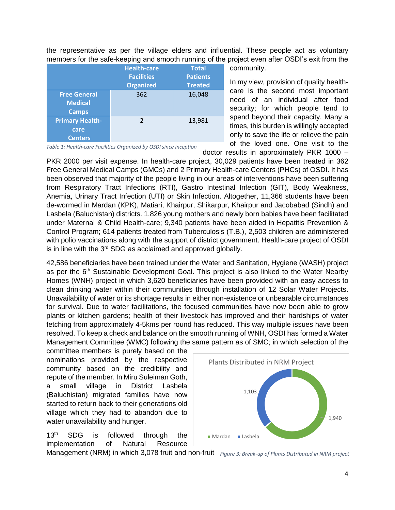the representative as per the village elders and influential. These people act as voluntary members for the safe-keeping and smooth running of the project even after OSDI's exit from the

|                        | <b>Health-care</b> | <b>Total</b>    |
|------------------------|--------------------|-----------------|
|                        | <b>Facilities</b>  | <b>Patients</b> |
|                        | <b>Organized</b>   | <b>Treated</b>  |
| <b>Free General</b>    | 362                | 16,048          |
| <b>Medical</b>         |                    |                 |
| <b>Camps</b>           |                    |                 |
| <b>Primary Health-</b> | $\mathcal{P}$      | 13,981          |
| care                   |                    |                 |
| <b>Centers</b>         |                    |                 |

*Table 1: Health-care Facilities Organized by OSDI since inception*

community.

In my view, provision of quality healthcare is the second most important need of an individual after food security; for which people tend to spend beyond their capacity. Many a times, this burden is willingly accepted only to save the life or relieve the pain of the loved one. One visit to the doctor results in approximately PKR 1000 –

PKR 2000 per visit expense. In health-care project, 30,029 patients have been treated in 362 Free General Medical Camps (GMCs) and 2 Primary Health-care Centers (PHCs) of OSDI. It has been observed that majority of the people living in our areas of interventions have been suffering from Respiratory Tract Infections (RTI), Gastro Intestinal Infection (GIT), Body Weakness, Anemia, Urinary Tract Infection (UTI) or Skin Infection. Altogether, 11,366 students have been de-wormed in Mardan (KPK), Matiari, Khairpur, Shikarpur, Khairpur and Jacobabad (Sindh) and Lasbela (Baluchistan) districts. 1,826 young mothers and newly born babies have been facilitated under Maternal & Child Health-care; 9,340 patients have been aided in Hepatitis Prevention & Control Program; 614 patients treated from Tuberculosis (T.B.), 2,503 children are administered with polio vaccinations along with the support of district government. Health-care project of OSDI is in line with the 3<sup>rd</sup> SDG as acclaimed and approved globally.

42,586 beneficiaries have been trained under the Water and Sanitation, Hygiene (WASH) project as per the  $6<sup>th</sup>$  Sustainable Development Goal. This project is also linked to the Water Nearby Homes (WNH) project in which 3,620 beneficiaries have been provided with an easy access to clean drinking water within their communities through installation of 12 Solar Water Projects. Unavailability of water or its shortage results in either non-existence or unbearable circumstances for survival. Due to water facilitations, the focused communities have now been able to grow plants or kitchen gardens; health of their livestock has improved and their hardships of water fetching from approximately 4-5kms per round has reduced. This way multiple issues have been resolved. To keep a check and balance on the smooth running of WNH, OSDI has formed a Water Management Committee (WMC) following the same pattern as of SMC; in which selection of the

committee members is purely based on the nominations provided by the respective community based on the credibility and repute of the member. In Miru Suleiman Goth, a small village in District Lasbela (Baluchistan) migrated families have now started to return back to their generations old village which they had to abandon due to water unavailability and hunger.

13<sup>th</sup> SDG is followed through the implementation of Natural Resource



Management (NRM) in which 3,078 fruit and non-fruit *Figure 3: Break-up of Plants Distributed in NRM project*